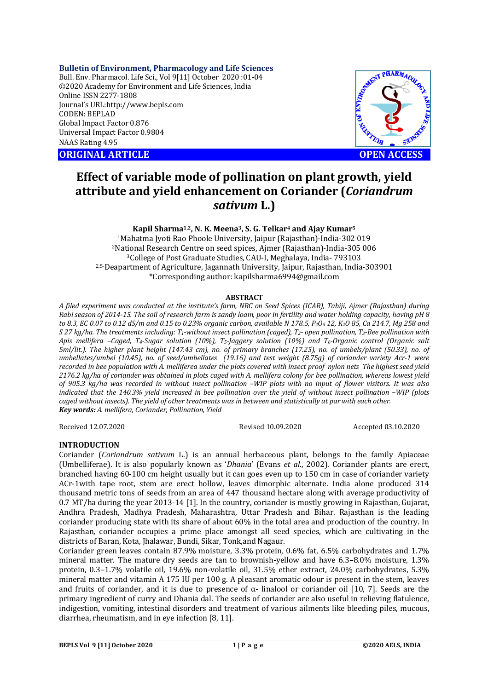# **Bulletin of Environment, Pharmacology and Life Sciences**

Bull. Env. Pharmacol. Life Sci., Vol 9[11] October 2020 :01-04 ©2020 Academy for Environment and Life Sciences, India Online ISSN 2277-1808 Journal's URL:<http://www.bepls.com> CODEN: BEPLAD Global Impact Factor 0.876 Universal Impact Factor 0.9804 NAAS Rating 4.95

**ORIGINAL ARTICLE OPEN ACCESS**



# **Effect of variable mode of pollination on plant growth, yield attribute and yield enhancement on Coriander (***Coriandrum sativum* **L.)**

# **Kapil Sharma1,2, N. K. Meena3, S. G. Telkar<sup>4</sup> and Ajay Kumar<sup>5</sup>**

<sup>1</sup>Mahatma Jyoti Rao Phoole University, Jaipur (Rajasthan)-India-302 019 <sup>2</sup>National Research Centre on seed spices, Ajmer (Rajasthan)-India-305 006 <sup>3</sup>College of Post Graduate Studies, CAU-I, Meghalaya, India- 793103 2,5-Deapartment of Agriculture, Jagannath University, Jaipur, Rajasthan, India-303901 \*Corresponding author: [kapilsharma6994@gmail.com](mailto:kapilsharma6994@gmail.com)

#### **ABSTRACT**

*A filed experiment was conducted at the institute's farm, NRC on Seed Spices (ICAR), Tabiji, Ajmer (Rajasthan) during Rabi season of 2014-15. The soil of research farm is sandy loam, poor in fertility and water holding capacity, having pH 8 to 8.3, EC 0.07 to 0.12 dS/m and 0.15 to 0.23% organic carbon, available N 178.5, P2O<sup>5</sup> 12, K2O 85, Ca 214.7, Mg 258 and S 27 kg/ha. The treatments including: T1-without insect pollination (caged), T2- open pollination, T3-Bee pollination with Apis mellifera –Caged, T4-Sugar solution (10%), T5-Jaggery solution (10%) and T6-Organic control (Organic salt 5ml/lit.). The higher plant height (147.43 cm), no. of primary branches (17.25), no. of umbels/plant (50.33), no. of umbellates/umbel (10.45), no. of seed/umbellates (19.16) and test weight (8.75g) of coriander variety Acr-1 were recorded in bee population with A. melliferea under the plots covered with insect proof nylon nets The highest seed yield 2176.2 kg/ha of coriander was obtained in plots caged with A. mellifera colony for bee pollination, whereas lowest yield of 905.3 kg/ha was recorded in without insect pollination –WIP plots with no input of flower visitors. It was also indicated that the 140.3% yield increased in bee pollination over the yield of without insect pollination –WIP (plots caged without insects). The yield of other treatments was in between and statistically at par with each other. Key words: A. mellifera, Coriander, Pollination, Yield*

Received 12.07.2020 Revised 10.09.2020 Accepted 03.10.2020

# **INTRODUCTION**

Coriander (*Coriandrum sativum* L.) is an annual herbaceous plant, belongs to the family Apiaceae (Umbelliferae). It is also popularly known as '*Dhania*' (Evans *et al*., 2002). Coriander plants are erect, branched having 60-100 cm height usually but it can goes even up to 150 cm in case of coriander variety ACr-1with tape root, stem are erect hollow, leaves dimorphic alternate. India alone produced 314 thousand metric tons of seeds from an area of 447 thousand hectare along with average productivity of 0.7 MT/ha during the year 2013-14 [1]. In the country, coriander is mostly growing in Rajasthan, Gujarat, Andhra Pradesh, Madhya Pradesh, Maharashtra, Uttar Pradesh and Bihar. Rajasthan is the leading coriander producing state with its share of about 60% in the total area and production of the country. In Rajasthan, coriander occupies a prime place amongst all seed species, which are cultivating in the districts of Baran, Kota, Jhalawar, Bundi, Sikar, Tonk,and Nagaur.

Coriander green leaves contain 87.9% moisture, 3.3% protein, 0.6% fat, 6.5% carbohydrates and 1.7% mineral matter. The mature dry seeds are tan to brownish-yellow and have 6.3–8.0% moisture, 1.3% protein, 0.3–1.7% volatile oil, 19.6% non-volatile oil, 31.5% ether extract, 24.0% carbohydrates, 5.3% mineral matter and vitamin A 175 IU per 100 g. A pleasant aromatic odour is present in the stem, leaves and fruits of coriander, and it is due to presence of  $\alpha$ - linalool or coriander oil [10, 7]. Seeds are the primary ingredient of curry and Dhania dal. The seeds of coriander are also useful in relieving flatulence, indigestion, vomiting, intestinal disorders and treatment of various ailments like bleeding piles, mucous, diarrhea, rheumatism, and in eye infection [8, 11].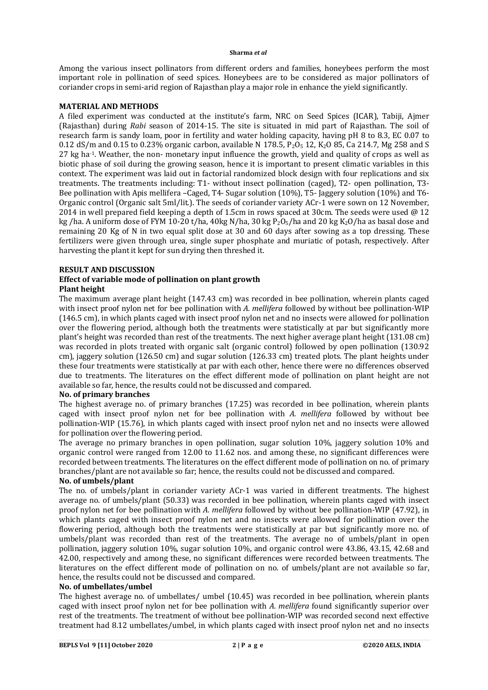#### **Sharma** *et al*

Among the various insect pollinators from different orders and families, honeybees perform the most important role in pollination of seed spices. Honeybees are to be considered as major pollinators of coriander crops in semi-arid region of Rajasthan play a major role in enhance the yield significantly.

# **MATERIAL AND METHODS**

A filed experiment was conducted at the institute's farm, NRC on Seed Spices (ICAR), Tabiji, Ajmer (Rajasthan) during *Rabi* season of 2014-15. The site is situated in mid part of Rajasthan. The soil of research farm is sandy loam, poor in fertility and water holding capacity, having pH 8 to 8.3, EC 0.07 to 0.12 dS/m and 0.15 to 0.23% organic carbon, available N 178.5,  $P_2O_5$  12, K<sub>2</sub>O 85, Ca 214.7, Mg 258 and S 27 kg ha-1. Weather, the non- monetary input influence the growth, yield and quality of crops as well as biotic phase of soil during the growing season, hence it is important to present climatic variables in this context. The experiment was laid out in factorial randomized block design with four replications and six treatments. The treatments including: T1- without insect pollination (caged), T2- open pollination, T3- Bee pollination with Apis mellifera –Caged, T4- Sugar solution (10%), T5- Jaggery solution (10%) and T6- Organic control (Organic salt 5ml/lit.). The seeds of coriander variety ACr-1 were sown on 12 November, 2014 in well prepared field keeping a depth of 1.5cm in rows spaced at 30cm. The seeds were used  $\omega$  12 kg /ha. A uniform dose of FYM 10-20 t/ha, 40kg N/ha, 30 kg P<sub>2</sub>O<sub>5</sub>/ha and 20 kg K<sub>2</sub>O/ha as basal dose and remaining 20 Kg of N in two equal split dose at 30 and 60 days after sowing as a top dressing. These fertilizers were given through urea, single super phosphate and muriatic of potash, respectively. After harvesting the plant it kept for sun drying then threshed it.

## **RESULT AND DISCUSSION**

#### **Effect of variable mode of pollination on plant growth Plant height**

The maximum average plant height (147.43 cm) was recorded in bee pollination, wherein plants caged with insect proof nylon net for bee pollination with *A. mellifera* followed by without bee pollination-WIP (146.5 cm), in which plants caged with insect proof nylon net and no insects were allowed for pollination over the flowering period, although both the treatments were statistically at par but significantly more plant's height was recorded than rest of the treatments. The next higher average plant height (131.08 cm) was recorded in plots treated with organic salt (organic control) followed by open pollination (130.92 cm), jaggery solution (126.50 cm) and sugar solution (126.33 cm) treated plots. The plant heights under these four treatments were statistically at par with each other, hence there were no differences observed due to treatments. The literatures on the effect different mode of pollination on plant height are not available so far, hence, the results could not be discussed and compared.

#### **No. of primary branches**

The highest average no. of primary branches (17.25) was recorded in bee pollination, wherein plants caged with insect proof nylon net for bee pollination with *A. mellifera* followed by without bee pollination-WIP (15.76), in which plants caged with insect proof nylon net and no insects were allowed for pollination over the flowering period.

The average no primary branches in open pollination, sugar solution 10%, jaggery solution 10% and organic control were ranged from 12.00 to 11.62 nos. and among these, no significant differences were recorded between treatments. The literatures on the effect different mode of pollination on no. of primary branches/plant are not available so far; hence, the results could not be discussed and compared.

# **No. of umbels/plant**

The no. of umbels/plant in coriander variety ACr-1 was varied in different treatments. The highest average no. of umbels/plant (50.33) was recorded in bee pollination, wherein plants caged with insect proof nylon net for bee pollination with *A. mellifera* followed by without bee pollination-WIP (47.92), in which plants caged with insect proof nylon net and no insects were allowed for pollination over the flowering period, although both the treatments were statistically at par but significantly more no. of umbels/plant was recorded than rest of the treatments. The average no of umbels/plant in open pollination, jaggery solution 10%, sugar solution 10%, and organic control were 43.86, 43.15, 42.68 and 42.00, respectively and among these, no significant differences were recorded between treatments. The literatures on the effect different mode of pollination on no. of umbels/plant are not available so far, hence, the results could not be discussed and compared.

# **No. of umbellates/umbel**

The highest average no. of umbellates/ umbel (10.45) was recorded in bee pollination, wherein plants caged with insect proof nylon net for bee pollination with *A. mellifera* found significantly superior over rest of the treatments. The treatment of without bee pollination-WIP was recorded second next effective treatment had 8.12 umbellates/umbel, in which plants caged with insect proof nylon net and no insects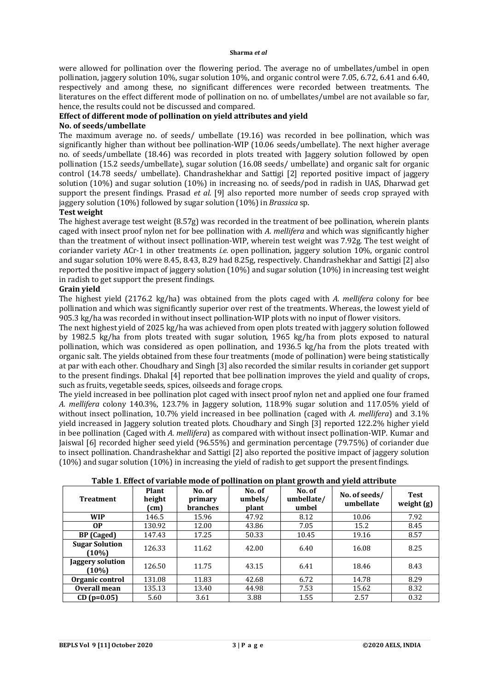#### **Sharma** *et al*

were allowed for pollination over the flowering period. The average no of umbellates/umbel in open pollination, jaggery solution 10%, sugar solution 10%, and organic control were 7.05, 6.72, 6.41 and 6.40, respectively and among these, no significant differences were recorded between treatments. The literatures on the effect different mode of pollination on no. of umbellates/umbel are not available so far, hence, the results could not be discussed and compared.

# **Effect of different mode of pollination on yield attributes and yield**

## **No. of seeds/umbellate**

The maximum average no. of seeds/ umbellate (19.16) was recorded in bee pollination, which was significantly higher than without bee pollination-WIP (10.06 seeds/umbellate). The next higher average no. of seeds/umbellate (18.46) was recorded in plots treated with Jaggery solution followed by open pollination (15.2 seeds/umbellate), sugar solution (16.08 seeds/ umbellate) and organic salt for organic control (14.78 seeds/ umbellate). Chandrashekhar and Sattigi [2] reported positive impact of jaggery solution (10%) and sugar solution (10%) in increasing no. of seeds/pod in radish in UAS, Dharwad get support the present findings. Prasad *et al.* [9] also reported more number of seeds crop sprayed with jaggery solution (10%) followed by sugar solution (10%) in *Brassica* sp.

# **Test weight**

The highest average test weight (8.57g) was recorded in the treatment of bee pollination, wherein plants caged with insect proof nylon net for bee pollination with *A. mellifera* and which was significantly higher than the treatment of without insect pollination-WIP, wherein test weight was 7.92g. The test weight of coriander variety ACr-1 in other treatments *i.e.* open pollination, jaggery solution 10%, organic control and sugar solution 10% were 8.45, 8.43, 8.29 had 8.25g, respectively. Chandrashekhar and Sattigi [2] also reported the positive impact of jaggery solution (10%) and sugar solution (10%) in increasing test weight in radish to get support the present findings.

#### **Grain yield**

The highest yield (2176.2 kg/ha) was obtained from the plots caged with *A. mellifera* colony for bee pollination and which was significantly superior over rest of the treatments. Whereas, the lowest yield of 905.3 kg/ha was recorded in without insect pollination-WIP plots with no input of flower visitors.

The next highest yield of 2025 kg/ha was achieved from open plots treated with jaggery solution followed by 1982.5 kg/ha from plots treated with sugar solution, 1965 kg/ha from plots exposed to natural pollination, which was considered as open pollination, and 1936.5 kg/ha from the plots treated with organic salt. The yields obtained from these four treatments (mode of pollination) were being statistically at par with each other. Choudhary and Singh [3] also recorded the similar results in coriander get support to the present findings. Dhakal [4] reported that bee pollination improves the yield and quality of crops, such as fruits, vegetable seeds, spices, oilseeds and forage crops.

The yield increased in bee pollination plot caged with insect proof nylon net and applied one four framed *A. mellifera* colony 140.3%, 123.7% in Jaggery solution, 118.9% sugar solution and 117.05% yield of without insect pollination, 10.7% yield increased in bee pollination (caged with *A. mellifera*) and 3.1% yield increased in Jaggery solution treated plots. Choudhary and Singh [3] reported 122.2% higher yield in bee pollination (Caged with *A. mellifera*) as compared with without insect pollination-WIP. Kumar and Jaiswal [6] recorded higher seed yield (96.55%) and germination percentage (79.75%) of coriander due to insect pollination. Chandrashekhar and Sattigi [2] also reported the positive impact of jaggery solution (10%) and sugar solution (10%) in increasing the yield of radish to get support the present findings.

| Table 1. Effect of variable mode of pollination on plant growth and yield attribute |  |  |  |
|-------------------------------------------------------------------------------------|--|--|--|
|-------------------------------------------------------------------------------------|--|--|--|

| <b>Treatment</b>                  | Plant<br>height<br>$\text{cm}$ | No. of<br>primary<br><b>branches</b> | No. of<br>umbels/<br>plant | ັ<br>No. of<br>umbellate/<br>umbel | No. of seeds/<br>umbellate | <b>Test</b><br>weight (g) |
|-----------------------------------|--------------------------------|--------------------------------------|----------------------------|------------------------------------|----------------------------|---------------------------|
| <b>WIP</b>                        | 146.5                          | 15.96                                | 47.92                      | 8.12                               | 10.06                      | 7.92                      |
| 0P                                | 130.92                         | 12.00                                | 43.86                      | 7.05                               | 15.2                       | 8.45                      |
| <b>BP</b> (Caged)                 | 147.43                         | 17.25                                | 50.33                      | 10.45                              | 19.16                      | 8.57                      |
| <b>Sugar Solution</b><br>$(10\%)$ | 126.33                         | 11.62                                | 42.00                      | 6.40                               | 16.08                      | 8.25                      |
| Jaggery solution<br>(10%)         | 126.50                         | 11.75                                | 43.15                      | 6.41                               | 18.46                      | 8.43                      |
| Organic control                   | 131.08                         | 11.83                                | 42.68                      | 6.72                               | 14.78                      | 8.29                      |
| Overall mean                      | 135.13                         | 13.40                                | 44.98                      | 7.53                               | 15.62                      | 8.32                      |
| $CD (p=0.05)$                     | 5.60                           | 3.61                                 | 3.88                       | 1.55                               | 2.57                       | 0.32                      |